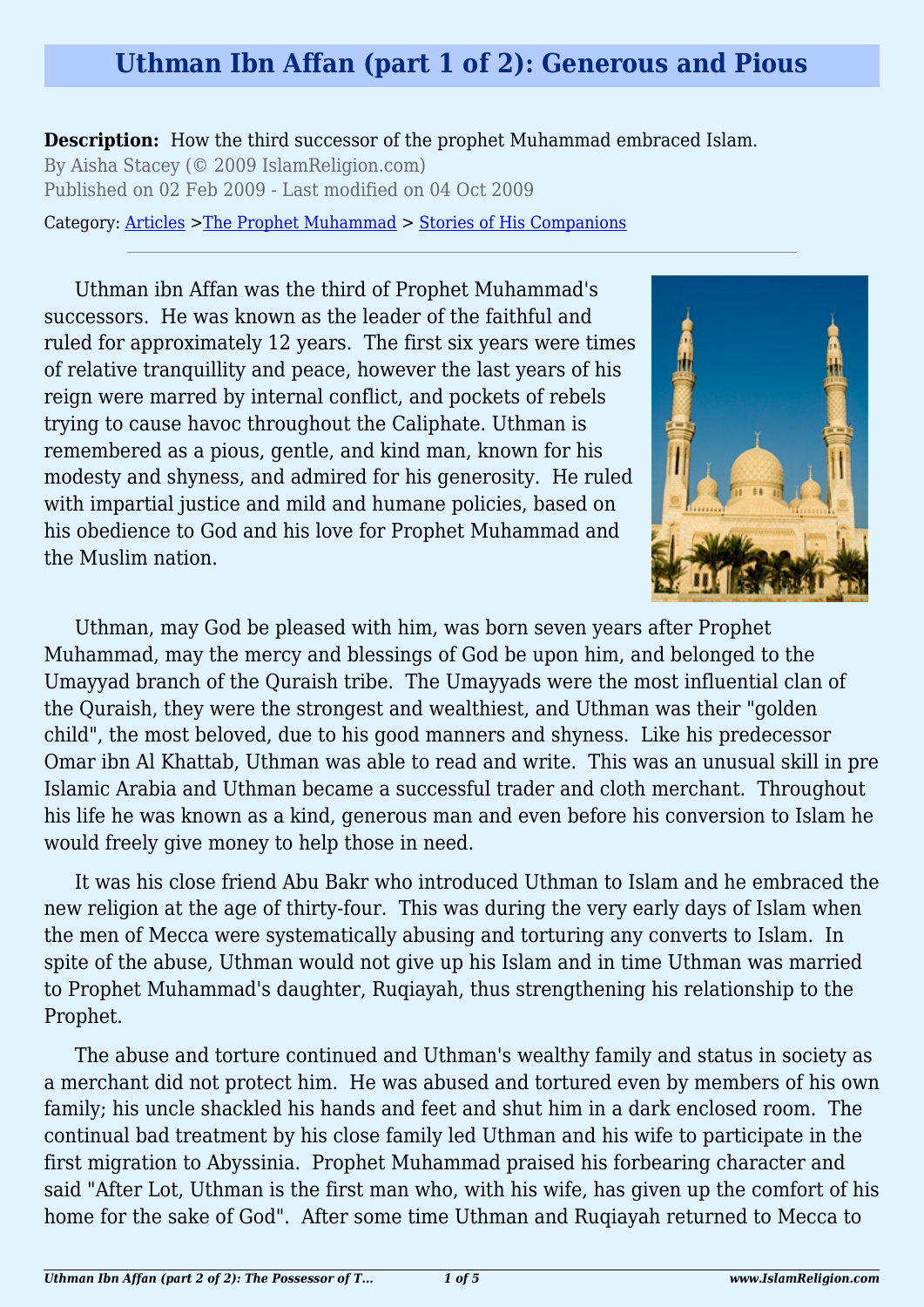### **Uthman Ibn Affan (part 1 of 2): Generous and Pious**

**Description:** How the third successor of the prophet Muhammad embraced Islam. By Aisha Stacey (© 2009 IslamReligion.com) Published on 02 Feb 2009 - Last modified on 04 Oct 2009

Category: [Articles](http://www.islamreligion.com/articles/) >[The Prophet Muhammad](http://www.islamreligion.com/category/79/) > [Stories of His Companions](http://www.islamreligion.com/category/126/)

Uthman ibn Affan was the third of Prophet Muhammad's successors. He was known as the leader of the faithful and ruled for approximately 12 years. The first six years were times of relative tranquillity and peace, however the last years of his reign were marred by internal conflict, and pockets of rebels trying to cause havoc throughout the Caliphate. Uthman is remembered as a pious, gentle, and kind man, known for his modesty and shyness, and admired for his generosity. He ruled with impartial justice and mild and humane policies, based on his obedience to God and his love for Prophet Muhammad and the Muslim nation.



Uthman, may God be pleased with him, was born seven years after Prophet Muhammad, may the mercy and blessings of God be upon him, and belonged to the Umayyad branch of the Quraish tribe. The Umayyads were the most influential clan of the Quraish, they were the strongest and wealthiest, and Uthman was their "golden child", the most beloved, due to his good manners and shyness. Like his predecessor Omar ibn Al Khattab, Uthman was able to read and write. This was an unusual skill in pre Islamic Arabia and Uthman became a successful trader and cloth merchant. Throughout his life he was known as a kind, generous man and even before his conversion to Islam he would freely give money to help those in need.

It was his close friend Abu Bakr who introduced Uthman to Islam and he embraced the new religion at the age of thirty-four. This was during the very early days of Islam when the men of Mecca were systematically abusing and torturing any converts to Islam. In spite of the abuse, Uthman would not give up his Islam and in time Uthman was married to Prophet Muhammad's daughter, Ruqiayah, thus strengthening his relationship to the Prophet.

The abuse and torture continued and Uthman's wealthy family and status in society as a merchant did not protect him. He was abused and tortured even by members of his own family; his uncle shackled his hands and feet and shut him in a dark enclosed room. The continual bad treatment by his close family led Uthman and his wife to participate in the first migration to Abyssinia. Prophet Muhammad praised his forbearing character and said "After Lot, Uthman is the first man who, with his wife, has given up the comfort of his home for the sake of God". After some time Uthman and Ruqiayah returned to Mecca to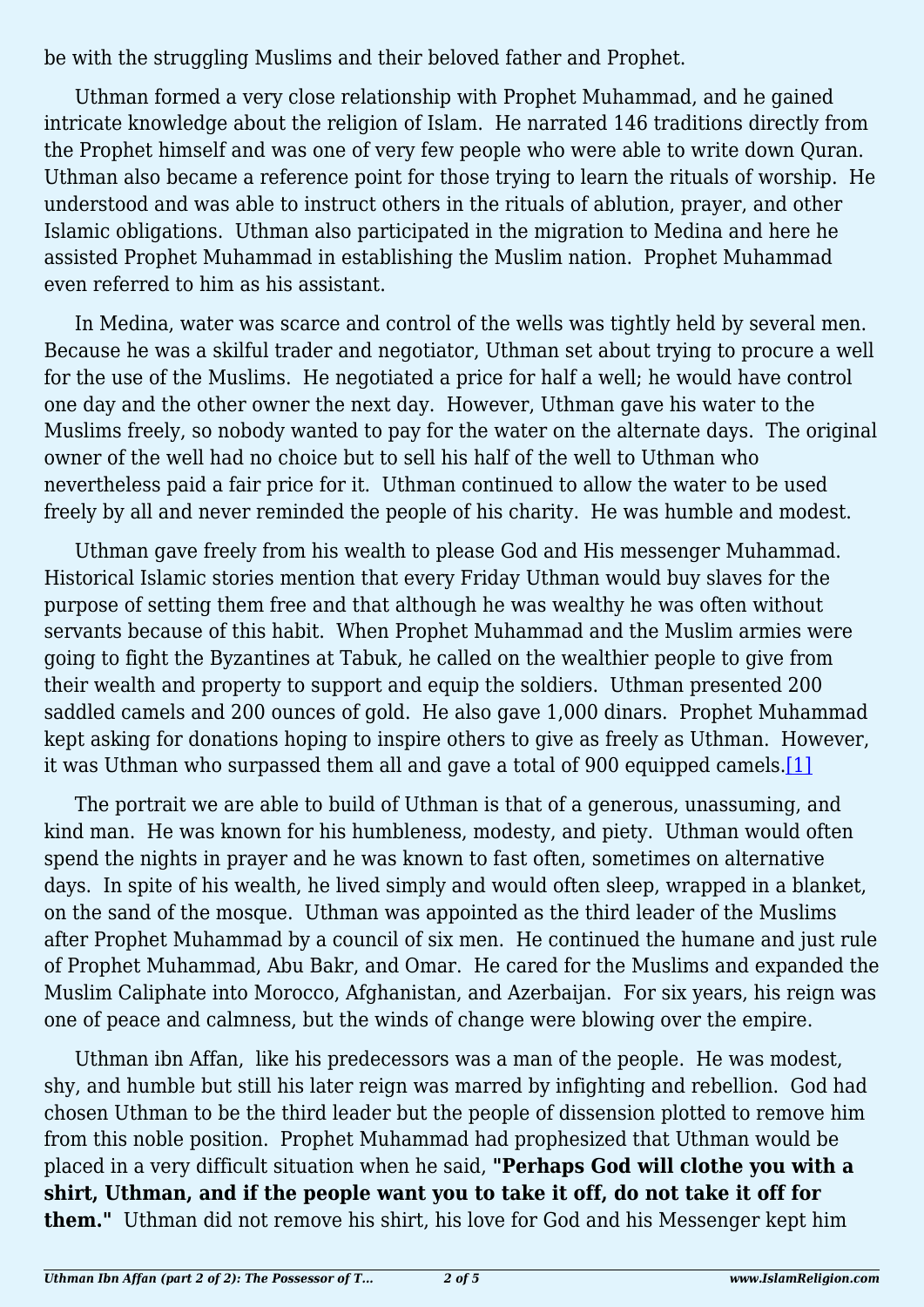be with the struggling Muslims and their beloved father and Prophet.

Uthman formed a very close relationship with Prophet Muhammad, and he gained intricate knowledge about the religion of Islam. He narrated 146 traditions directly from the Prophet himself and was one of very few people who were able to write down Quran. Uthman also became a reference point for those trying to learn the rituals of worship. He understood and was able to instruct others in the rituals of ablution, prayer, and other Islamic obligations. Uthman also participated in the migration to Medina and here he assisted Prophet Muhammad in establishing the Muslim nation. Prophet Muhammad even referred to him as his assistant.

In Medina, water was scarce and control of the wells was tightly held by several men. Because he was a skilful trader and negotiator, Uthman set about trying to procure a well for the use of the Muslims. He negotiated a price for half a well; he would have control one day and the other owner the next day. However, Uthman gave his water to the Muslims freely, so nobody wanted to pay for the water on the alternate days. The original owner of the well had no choice but to sell his half of the well to Uthman who nevertheless paid a fair price for it. Uthman continued to allow the water to be used freely by all and never reminded the people of his charity. He was humble and modest.

Uthman gave freely from his wealth to please God and His messenger Muhammad. Historical Islamic stories mention that every Friday Uthman would buy slaves for the purpose of setting them free and that although he was wealthy he was often without servants because of this habit. When Prophet Muhammad and the Muslim armies were going to fight the Byzantines at Tabuk, he called on the wealthier people to give from their wealth and property to support and equip the soldiers. Uthman presented 200 saddled camels and 200 ounces of gold. He also gave 1,000 dinars. Prophet Muhammad kept asking for donations hoping to inspire others to give as freely as Uthman. However, it was Uthman who surpassed them all and gave a total of 900 equipped camels.[\[1\]](#page-2-0)

<span id="page-1-0"></span>The portrait we are able to build of Uthman is that of a generous, unassuming, and kind man. He was known for his humbleness, modesty, and piety. Uthman would often spend the nights in prayer and he was known to fast often, sometimes on alternative days. In spite of his wealth, he lived simply and would often sleep, wrapped in a blanket, on the sand of the mosque. Uthman was appointed as the third leader of the Muslims after Prophet Muhammad by a council of six men. He continued the humane and just rule of Prophet Muhammad, Abu Bakr, and Omar. He cared for the Muslims and expanded the Muslim Caliphate into Morocco, Afghanistan, and Azerbaijan. For six years, his reign was one of peace and calmness, but the winds of change were blowing over the empire.

Uthman ibn Affan, like his predecessors was a man of the people. He was modest, shy, and humble but still his later reign was marred by infighting and rebellion. God had chosen Uthman to be the third leader but the people of dissension plotted to remove him from this noble position. Prophet Muhammad had prophesized that Uthman would be placed in a very difficult situation when he said, **"Perhaps God will clothe you with a shirt, Uthman, and if the people want you to take it off, do not take it off for them."** Uthman did not remove his shirt, his love for God and his Messenger kept him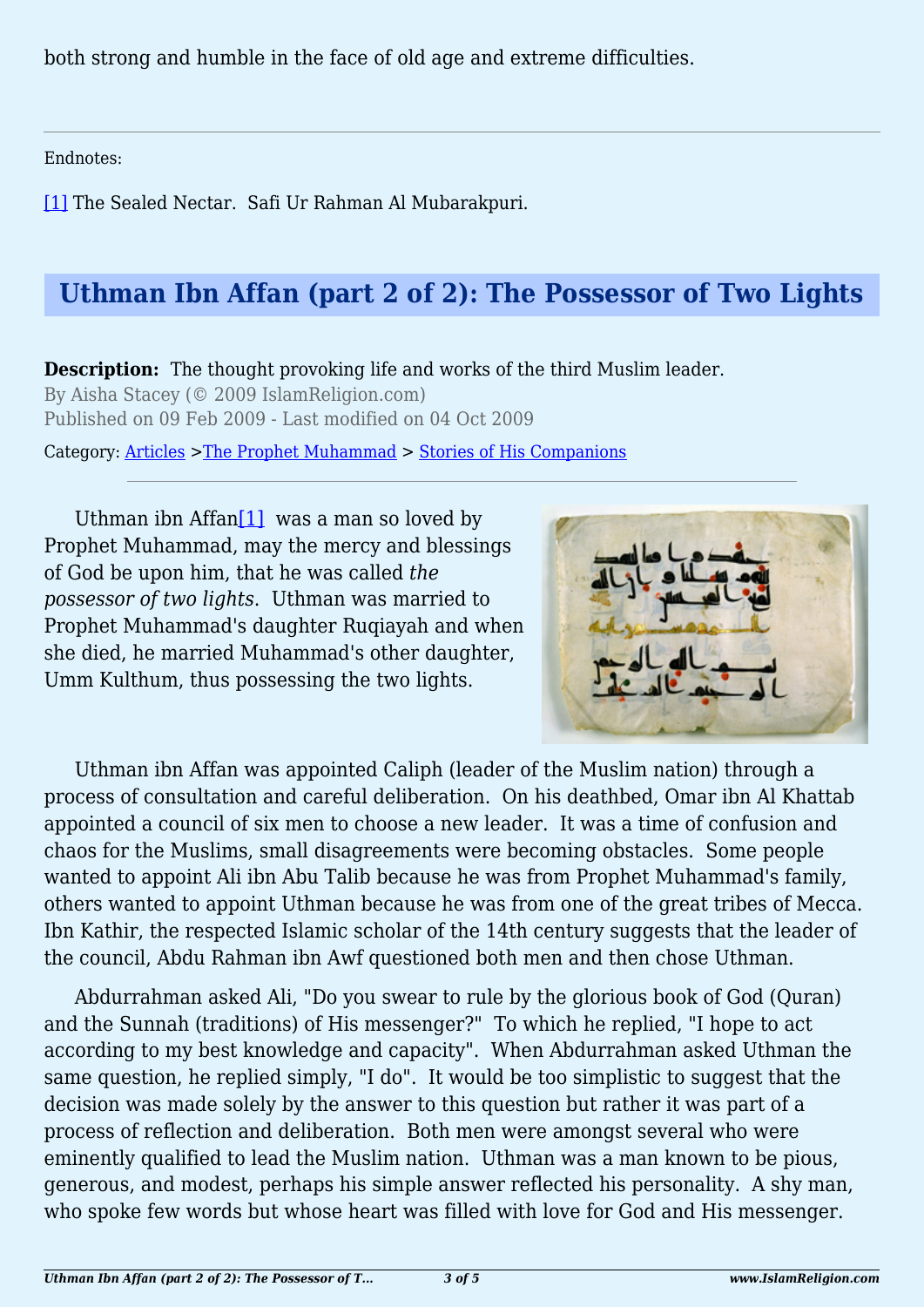both strong and humble in the face of old age and extreme difficulties.

<span id="page-2-0"></span>Endnotes:

[\[1\]](#page-1-0) The Sealed Nectar. Safi Ur Rahman Al Mubarakpuri.

# **Uthman Ibn Affan (part 2 of 2): The Possessor of Two Lights**

**Description:** The thought provoking life and works of the third Muslim leader. By Aisha Stacey (© 2009 IslamReligion.com) Published on 09 Feb 2009 - Last modified on 04 Oct 2009

Category: [Articles](http://www.islamreligion.com/articles/) >[The Prophet Muhammad](http://www.islamreligion.com/category/79/) > [Stories of His Companions](http://www.islamreligion.com/category/126/)

<span id="page-2-1"></span>Uthman ibn Affan<sup>[\[1\]](#page-4-0)</sup> was a man so loved by Prophet Muhammad, may the mercy and blessings of God be upon him, that he was called *the possessor of two lights*. Uthman was married to Prophet Muhammad's daughter Ruqiayah and when she died, he married Muhammad's other daughter, Umm Kulthum, thus possessing the two lights.



Uthman ibn Affan was appointed Caliph (leader of the Muslim nation) through a process of consultation and careful deliberation. On his deathbed, Omar ibn Al Khattab appointed a council of six men to choose a new leader. It was a time of confusion and chaos for the Muslims, small disagreements were becoming obstacles. Some people wanted to appoint Ali ibn Abu Talib because he was from Prophet Muhammad's family, others wanted to appoint Uthman because he was from one of the great tribes of Mecca. Ibn Kathir, the respected Islamic scholar of the 14th century suggests that the leader of the council, Abdu Rahman ibn Awf questioned both men and then chose Uthman.

Abdurrahman asked Ali, "Do you swear to rule by the glorious book of God (Quran) and the Sunnah (traditions) of His messenger?" To which he replied, "I hope to act according to my best knowledge and capacity". When Abdurrahman asked Uthman the same question, he replied simply, "I do". It would be too simplistic to suggest that the decision was made solely by the answer to this question but rather it was part of a process of reflection and deliberation. Both men were amongst several who were eminently qualified to lead the Muslim nation. Uthman was a man known to be pious, generous, and modest, perhaps his simple answer reflected his personality. A shy man, who spoke few words but whose heart was filled with love for God and His messenger.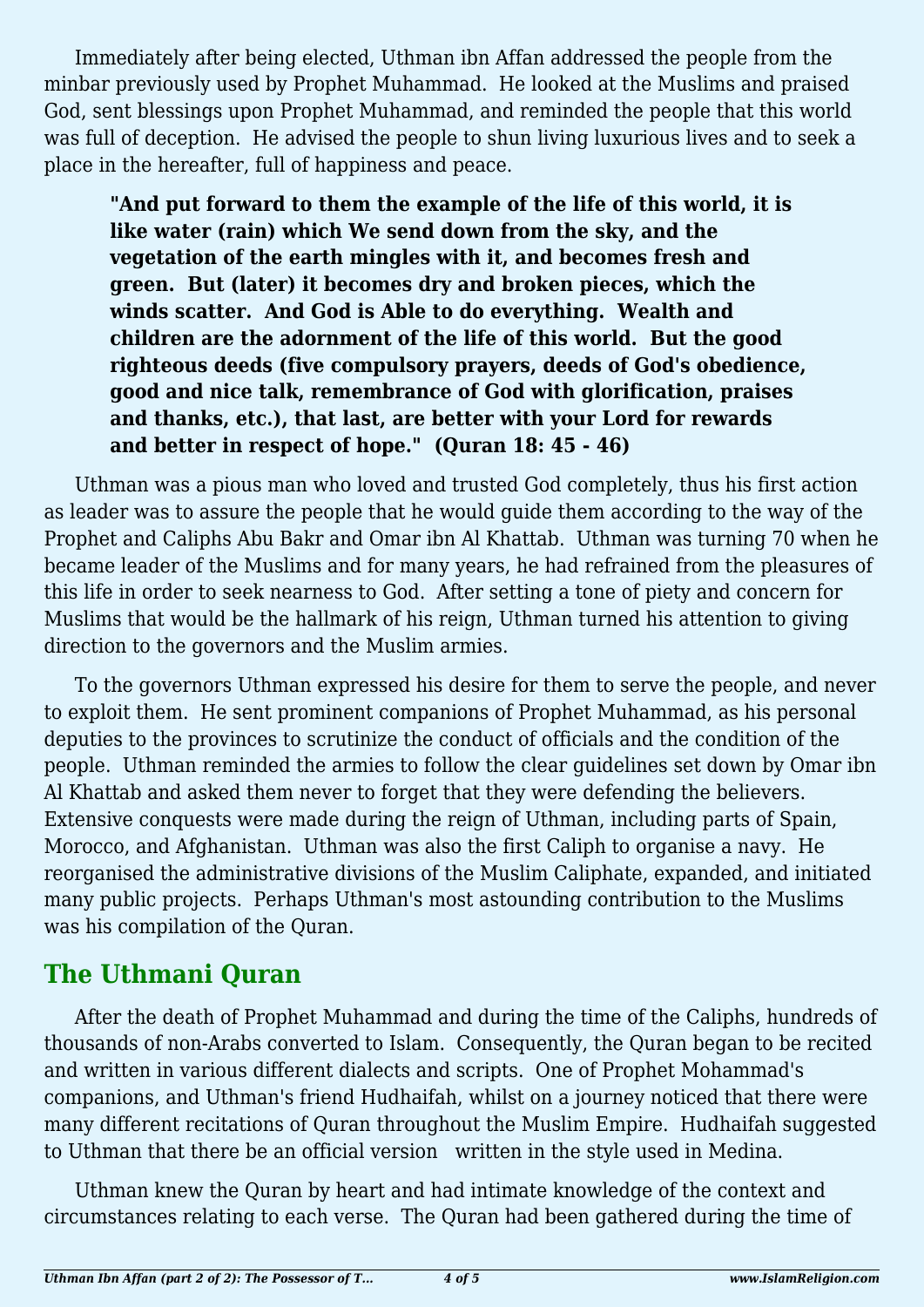Immediately after being elected, Uthman ibn Affan addressed the people from the minbar previously used by Prophet Muhammad. He looked at the Muslims and praised God, sent blessings upon Prophet Muhammad, and reminded the people that this world was full of deception. He advised the people to shun living luxurious lives and to seek a place in the hereafter, full of happiness and peace.

**"And put forward to them the example of the life of this world, it is like water (rain) which We send down from the sky, and the vegetation of the earth mingles with it, and becomes fresh and green. But (later) it becomes dry and broken pieces, which the winds scatter. And God is Able to do everything. Wealth and children are the adornment of the life of this world. But the good righteous deeds (five compulsory prayers, deeds of God's obedience, good and nice talk, remembrance of God with glorification, praises and thanks, etc.), that last, are better with your Lord for rewards and better in respect of hope." (Quran 18: 45 - 46)**

Uthman was a pious man who loved and trusted God completely, thus his first action as leader was to assure the people that he would guide them according to the way of the Prophet and Caliphs Abu Bakr and Omar ibn Al Khattab. Uthman was turning 70 when he became leader of the Muslims and for many years, he had refrained from the pleasures of this life in order to seek nearness to God. After setting a tone of piety and concern for Muslims that would be the hallmark of his reign, Uthman turned his attention to giving direction to the governors and the Muslim armies.

To the governors Uthman expressed his desire for them to serve the people, and never to exploit them. He sent prominent companions of Prophet Muhammad, as his personal deputies to the provinces to scrutinize the conduct of officials and the condition of the people. Uthman reminded the armies to follow the clear guidelines set down by Omar ibn Al Khattab and asked them never to forget that they were defending the believers. Extensive conquests were made during the reign of Uthman, including parts of Spain, Morocco, and Afghanistan. Uthman was also the first Caliph to organise a navy. He reorganised the administrative divisions of the Muslim Caliphate, expanded, and initiated many public projects. Perhaps Uthman's most astounding contribution to the Muslims was his compilation of the Quran.

## **The Uthmani Quran**

After the death of Prophet Muhammad and during the time of the Caliphs, hundreds of thousands of non-Arabs converted to Islam. Consequently, the Quran began to be recited and written in various different dialects and scripts. One of Prophet Mohammad's companions, and Uthman's friend Hudhaifah, whilst on a journey noticed that there were many different recitations of Quran throughout the Muslim Empire. Hudhaifah suggested to Uthman that there be an official version written in the style used in Medina.

Uthman knew the Quran by heart and had intimate knowledge of the context and circumstances relating to each verse. The Quran had been gathered during the time of